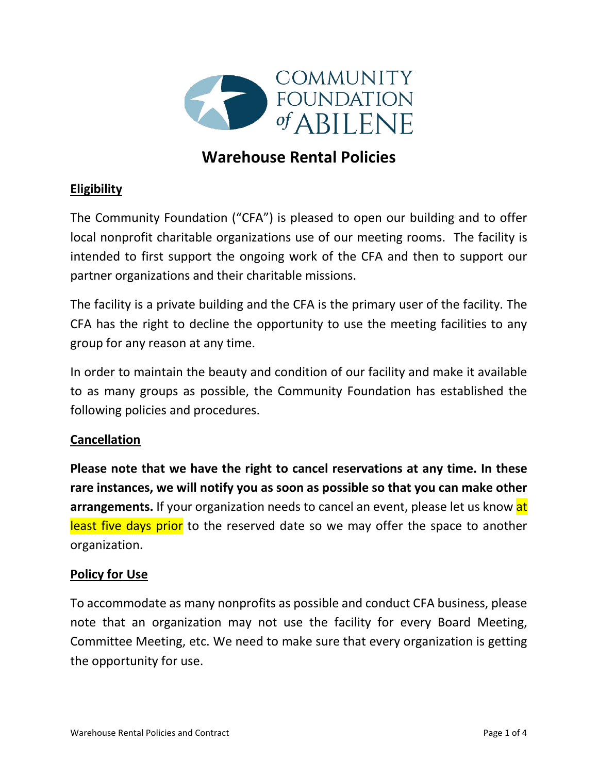

# **Warehouse Rental Policies**

## **Eligibility**

The Community Foundation ("CFA") is pleased to open our building and to offer local nonprofit charitable organizations use of our meeting rooms. The facility is intended to first support the ongoing work of the CFA and then to support our partner organizations and their charitable missions.

The facility is a private building and the CFA is the primary user of the facility. The CFA has the right to decline the opportunity to use the meeting facilities to any group for any reason at any time.

In order to maintain the beauty and condition of our facility and make it available to as many groups as possible, the Community Foundation has established the following policies and procedures.

### **Cancellation**

**Please note that we have the right to cancel reservations at any time. In these rare instances, we will notify you as soon as possible so that you can make other arrangements.** If your organization needs to cancel an event, please let us know at least five days prior to the reserved date so we may offer the space to another organization.

#### **Policy for Use**

To accommodate as many nonprofits as possible and conduct CFA business, please note that an organization may not use the facility for every Board Meeting, Committee Meeting, etc. We need to make sure that every organization is getting the opportunity for use.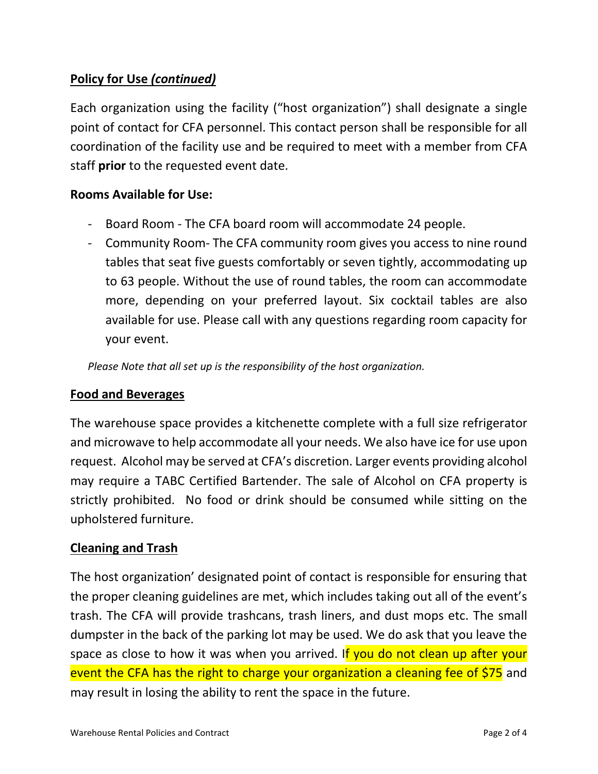## **Policy for Use** *(continued)*

Each organization using the facility ("host organization") shall designate a single point of contact for CFA personnel. This contact person shall be responsible for all coordination of the facility use and be required to meet with a member from CFA staff **prior** to the requested event date.

#### **Rooms Available for Use:**

- Board Room The CFA board room will accommodate 24 people.
- Community Room- The CFA community room gives you access to nine round tables that seat five guests comfortably or seven tightly, accommodating up to 63 people. Without the use of round tables, the room can accommodate more, depending on your preferred layout. Six cocktail tables are also available for use. Please call with any questions regarding room capacity for your event.

*Please Note that all set up is the responsibility of the host organization.* 

#### **Food and Beverages**

The warehouse space provides a kitchenette complete with a full size refrigerator and microwave to help accommodate all your needs. We also have ice for use upon request. Alcohol may be served at CFA's discretion. Larger events providing alcohol may require a TABC Certified Bartender. The sale of Alcohol on CFA property is strictly prohibited. No food or drink should be consumed while sitting on the upholstered furniture.

#### **Cleaning and Trash**

The host organization' designated point of contact is responsible for ensuring that the proper cleaning guidelines are met, which includes taking out all of the event's trash. The CFA will provide trashcans, trash liners, and dust mops etc. The small dumpster in the back of the parking lot may be used. We do ask that you leave the space as close to how it was when you arrived. If you do not clean up after your event the CFA has the right to charge your organization a cleaning fee of \$75 and may result in losing the ability to rent the space in the future.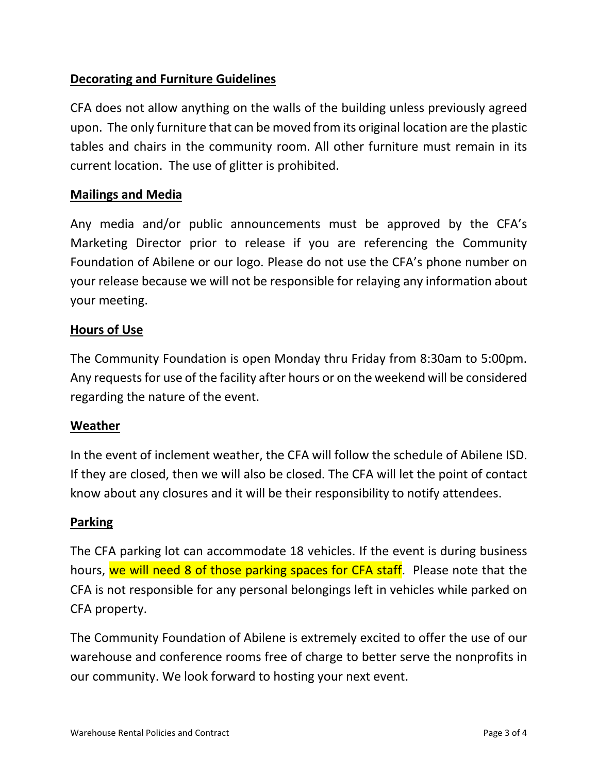## **Decorating and Furniture Guidelines**

CFA does not allow anything on the walls of the building unless previously agreed upon. The only furniture that can be moved from its original location are the plastic tables and chairs in the community room. All other furniture must remain in its current location. The use of glitter is prohibited.

#### **Mailings and Media**

Any media and/or public announcements must be approved by the CFA's Marketing Director prior to release if you are referencing the Community Foundation of Abilene or our logo. Please do not use the CFA's phone number on your release because we will not be responsible for relaying any information about your meeting.

#### **Hours of Use**

The Community Foundation is open Monday thru Friday from 8:30am to 5:00pm. Any requests for use of the facility after hours or on the weekend will be considered regarding the nature of the event.

#### **Weather**

In the event of inclement weather, the CFA will follow the schedule of Abilene ISD. If they are closed, then we will also be closed. The CFA will let the point of contact know about any closures and it will be their responsibility to notify attendees.

#### **Parking**

The CFA parking lot can accommodate 18 vehicles. If the event is during business hours, we will need 8 of those parking spaces for CFA staff. Please note that the CFA is not responsible for any personal belongings left in vehicles while parked on CFA property.

The Community Foundation of Abilene is extremely excited to offer the use of our warehouse and conference rooms free of charge to better serve the nonprofits in our community. We look forward to hosting your next event.